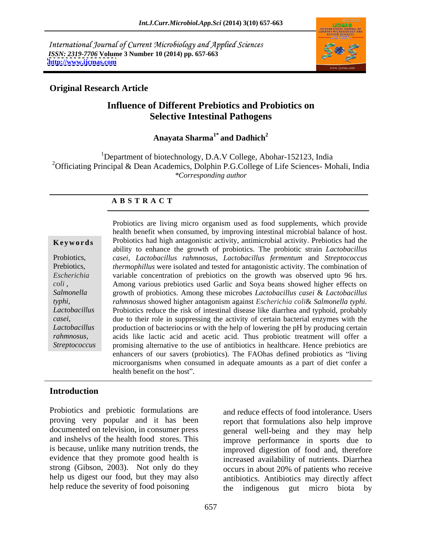International Journal of Current Microbiology and Applied Sciences *ISSN: 2319-7706* **Volume 3 Number 10 (2014) pp. 657-663 <http://www.ijcmas.com>**



# **Original Research Article**

# **Influence of Different Prebiotics and Probiotics on Selective Intestinal Pathogens**

#### **Anayata Sharma1\* and Dadhich<sup>2</sup>**

<sup>1</sup>Department of biotechnology, D.A.V College, Abohar-152123, India <sup>2</sup>Officiating Principal & Dean Academics, Dolphin P.G.College of Life Sciences- Mohali, India *\*Corresponding author* 

### **A B S T R A C T**

*coli* , *typhi*, *casei*,

**Keywords** Probiotics had high antagonistic activity, antimicrobial activity. Prebiotics had the Probiotics, *casei*, *Lactobacillus rahmnosus, Lactobacillus fermentum* and *Streptococcus*  Prebiotics, *thermophillus* were isolated and tested for antagonistic activity. The combination of *Escherichia*  variable concentration of prebiotics on the growth was observed upto 96 hrs. *Salmonella*  growth of probiotics. Among these microbes *Lactobacillus casei* & *Lactobacillus Lactobacillus*  Probiotics reduce the risk of intestinal disease like diarrhea and typhoid, probably Lactobacillus production of bacteriocins or with the help of lowering the pH by producing certain *rahmnosus,* acids like lactic acid and acetic acid. Thus probiotic treatment will offer a Streptococcus promising alternative to the use of antibiotics in healthcare. Hence prebiotics are Probiotics are living micro organism used as food supplements, which provide health benefit when consumed, by improving intestinal microbial balance of host. ability to enhance the growth of probiotics. The probiotic strain *Lactobacillus*  Among various prebiotics used Garlic and Soya beans showed higher effects on *rahmnosus* showed higher antagonism against *Escherichia coli*& *Salmonella typhi.* due to their role in suppressing the activity of certain bacterial enzymes with the enhancers of our savers (probiotics). The FAOhas defined probiotics as "living microorganisms when consumed in adequate amounts as a part of diet confer a health benefit on the host".

# **Introduction**

Probiotics and prebiotic formulations are proving very popular and it has been documented on television, in consumer press general well-being and they may help and inshelvs of the health food stores. This improve performance in sports due to is because, unlike many nutrition trends, the improved digestion of food and, therefore evidence that they promote good health is increased availability of nutrients. Diarrhea strong (Gibson, 2003). Not only do they occurs in about 20% of patients who receive help us digest our food, but they may also

help reduce the severity of food poisoning the indigenous gut micro biota by and reduce effects of food intolerance. Users report that formulations also help improve antibiotics. Antibiotics may directly affect the indigenous gut micro biota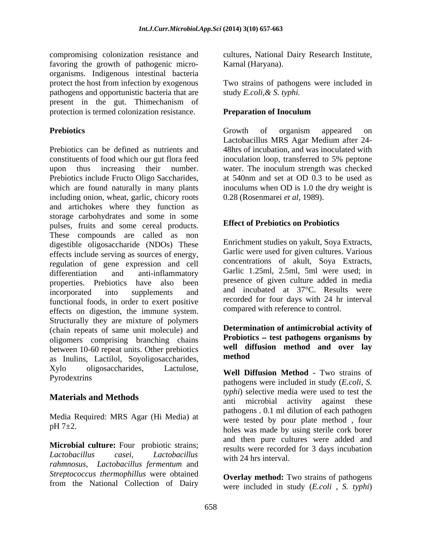compromising colonization resistance and cultures, National Dairy Research Institute, favoring the growth of pathogenic micro organisms. Indigenous intestinal bacteria protect the host from infection by exogenous Two strains of pathogens were included in pathogens and opportunistic bacteria that are present in the gut. Thimechanism of protection is termed colonization resistance. Preparation of Inoculum

Prebiotics can be defined as nutrients and 48hrs of incubation, and was inoculated with constituents of food which our gut flora feed inoculation loop, transferred to 5% peptone upon thus increasing their number. water. The inoculum strength was checked Prebiotics include Fructo Oligo Saccharides, which are found naturally in many plants including onion, wheat, garlic, chicory roots and artichokes where they function as storage carbohydrates and some in some pulses, fruits and some cereal products. These compounds are called as non digestible oligosaccharide (NDOs) These effects include serving as sources of energy, regulation of gene expression and cell differentiation and anti-inflammatory Garlic L.25ml, 2.5ml, 5ml were used; in properties. Prebiotics have also been incorporated into supplements and and incubated at 37°C. Results were functional foods, in order to exert positive effects on digestion, the immune system. Structurally they are mixture of polymers (chain repeats of same unit molecule) and oligomers comprising branching chains between 10-60 repeat units. Other prebiotics well dividend as a method as Inulins, Lactilol, Soyoligosaccharides, Xylo oligosaccharides, Lactulose, **Well Diffusion Method -** Two strains of

Media Required: MRS Agar (Hi Media) at

**Microbial culture:** Four probiotic strains; *rahmnosus, Lactobacillus fermentum* and *Streptococcus thermophillus* were obtained from the National Collection of Dairy

Karnal (Haryana).

study *E.coli,& S. typhi.*

## **Preparation of Inoculum**

**Prebiotics** and **Prebiotics** and **Prebiotics** and **Prebiotics** and **Prebiotics** and **Prebiotics** and **Prebiotics** and **Predicts** and **Predicts** and **Predicts** and **Predicts** and **Predicts** and **Predicts** and **Predicts** an Growth of organism appeared on Lactobacillus MRS Agar Medium after 24 at 540nm and set at OD 0.3 to be used as inoculums when OD is 1.0 the dry weight is 0.28 (Rosenmarei *et al*, 1989).

## **Effect of Prebiotics on Probiotics**

Enrichment studies on yakult, Soya Extracts, Garlic were used for given cultures. Various concentrations of akult, Soya Extracts, Garlic 1.25ml, 2.5ml, 5ml were used; in presence of given culture added in media and incubated at 37°C. Results were recorded for four days with 24 hr interval compared with reference to control.

**Determination of antimicrobial activity of** Probiotics – test pathogens organisms by **well diffusion method and over lay method**

Pyrodextrins pathogens were included in study (*E.coli, S.* **Materials and Methods** anti microbial activity against these  $pH 7±2.$  holes was made by using sterile cork borer *Lactobacillus casei*, *Lactobacillus typhi*) selective media were used to test the pathogens . 0.1 ml dilution of each pathogen were tested by pour plate method , four and then pure cultures were added and results were recorded for 3 days incubation with 24 hrs interval.

> **Overlay method:** Two strains of pathogens were included in study (*E.coli , S. typhi*)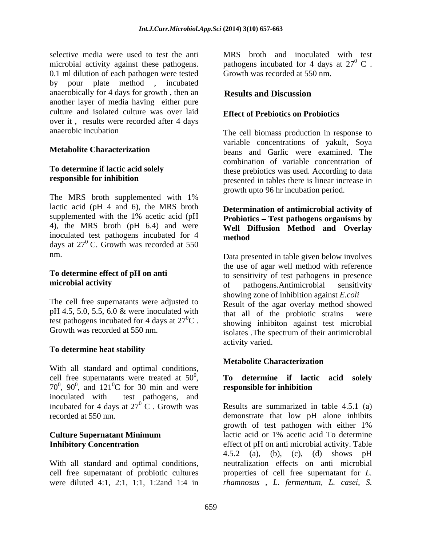microbial activity against these pathogens. 0.1 ml dilution of each pathogen were tested by pour plate method , incubated anaerobically for 4 days for growth , then an another layer of media having either pure culture and isolated culture was over laid over it , results were recorded after 4 days

The MRS broth supplemented with 1% lactic acid (pH 4 and 6), the MRS broth supplemented with the 1% acetic acid (pH **Probiotics – Test pathogens organisms by** 4), the MRS broth (pH 6.4) and were inoculated test pathogens incubated for 4 days at  $27^{\circ}$  C. Growth was recorded at 550

pH 4.5, 5.0, 5.5, 6.0 & were inoculated with<br>that all of the probiotic strains were test pathogens incubated for 4 days at  $27^0C$ .<br>Growth was recorded at 550 nm.

# **To determine heat stability**

With all standard and optimal conditions, cell free supernatants were treated at 50 0 **To determine if lactic acid solely** cell free supernatants were treated at 50<sup>0</sup>, **To determine if lactic acid solely**  $70^0$ ,  $90^0$ , and  $121^0$ C for 30 min and were **responsible for inhibition** inoculated with test pathogens, and incubated for 4 days at  $27^{\circ}$  C. Growth was

With all standard and optimal conditions, were diluted 4:1, 2:1, 1:1, 1:2and 1:4 in

selective media were used to test the anti MRS broth and inoculated with test pathogens incubated for 4 days at  $27^{\circ}$  C.  $\rm ^{0}$  C . Growth was recorded at 550 nm.

# **Results and Discussion**

# **Effect of Prebiotics on Probiotics**

anaerobic incubation The cell biomass production in response to **Metabolite Characterization** beans and Garlic were examined. The **To determine if lactic acid solely**  these prebiotics was used. According to data **responsible for inhibition** presented in tables there is linear increase in variable concentrations of yakult, Soya combination of variable concentration of growth upto 96 hr incubation period.

# **Determination of antimicrobial activity of Well Diffusion Method and Overlay method**

nm. Data presented in table given below involves **To determine effect of pH on anti** to sensitivity of test pathogens in presence **microbial activity** The cell free supernatants were adjusted to Result of the agar overlay method showed  ${}^{0}C$  . showing inhibiton against test microbial Growth was recorded at 550 nm.<br>
isolates . The spectrum of their antimicrobial the use of agar well method with reference of pathogens.Antimicrobial sensitivity showing zone of inhibition against *E.coli* that all of the probiotic strains activity varied.

# **Metabolite Characterization**

#### , 90 $^0$ , and 121 $^0$ C for 30 min and were responsible for inhibition  ${}^{0}C$  for 30 min and were responsible for inhibition **responsible for inhibition**

 ${}^{0}$  C . Growth was Results are summarized in table 4.5.1 (a) recorded at 550 nm. demonstrate that low pH alone inhibits **Culture Supernatant Minimum** lactic acid or 1% acetic acid To determine **Inhibitory Concentration** effect of pH on anti microbial activity. Table cell free supernatant of probiotic cultures properties of cell free supernatant for *L.*  growth of test pathogen with either 1% lactic acid or 1% acetic acid To determine 4.5.2 (a), (b), (c), (d) shows pH neutralization effects on anti microbial *rhamnosus , L. fermentum, L. casei, S.*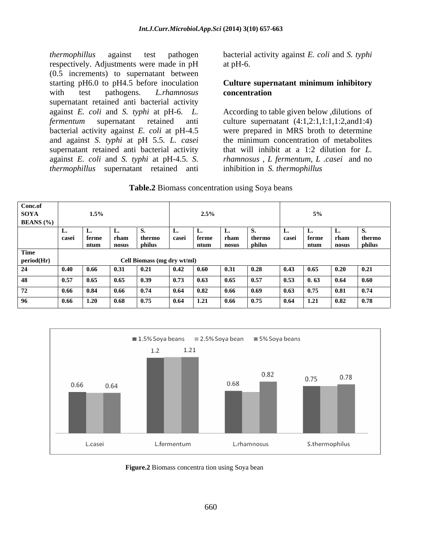*thermophillus* against test pathogen bacterialactivity against *E. coli* and *S. typhi* respectively. Adjustments were made in pH (0.5 increments) to supernatant between starting pH6.0 to pH4.5 before inoculation **Culture supernatant minimum inhibitory** with test pathogens. *L.rhamnosus* supernatant retained anti bacterial activity and against *S. typhi* at pH 5.5*. L. casei thermophillus* supernatant retained anti

at  $pH-6$ .

# **concentration**

against *E. coli* and *S. typhi* at pH-6*. L.* According to table given below ,dilutions of *fermentum* supernatant retained anti culture supernatant (4:1,2:1,1:1,1:2,and1:4) bacterial activity against *E. coli* at pH-4.5 were prepared in MRS broth to determine supernatant retained anti bacterial activity that will inhibit at a 1:2 dilution for *L.*  against *E. coli* and *S. typhi* at pH-4.5. *S. rhamnosus , L fermentum, L .casei* and no the minimum concentration of metabolites inhibition in *S. thermophillus*

| 2 Biomass<br>Table.2<br>concentration u<br>using Sova beans |  |
|-------------------------------------------------------------|--|
|                                                             |  |

| Conc.of            |                     |                  |                             |                             |                               |              |                                                                      |                               |                                                                      |
|--------------------|---------------------|------------------|-----------------------------|-----------------------------|-------------------------------|--------------|----------------------------------------------------------------------|-------------------------------|----------------------------------------------------------------------|
| <b>SOYA</b>        |                     | $1.5\%$          |                             |                             | $2.5\%$                       |              |                                                                      |                               |                                                                      |
| <b>BEANS</b> (%)   |                     |                  |                             |                             |                               |              |                                                                      |                               |                                                                      |
|                    |                     |                  |                             |                             |                               |              |                                                                      |                               |                                                                      |
|                    |                     | ntum<br>  nosus  | philus                      |                             | rham<br>ntum   nosus          | l philus -   | l ntum                                                               | ∣ terme                       | l thermo                                                             |
| Time               |                     |                  |                             |                             |                               |              |                                                                      | the control of the control of | nosus philus                                                         |
| $\vert$ period(Hr) |                     |                  | Cell Biomass (mg dry wt/ml) |                             |                               |              |                                                                      |                               |                                                                      |
|                    | 0.40<br>$1 \, 0.66$ | 0.3 <sub>1</sub> | 0.ZI                        | 0.60                        | $\blacksquare$ $\blacksquare$ | 0.28         | 10.65                                                                |                               | $\begin{array}{ c c c c c } \hline 0.20 & 0.21 \ \hline \end{array}$ |
|                    | 0.57<br>U.O5        | 0.65             |                             | 0.63                        | $\pm 0.65$                    | $\vert$ 0.57 | $ 0.53 $ 0.63                                                        |                               | $\begin{array}{ c c c c c } \hline 0.64 & 0.60 \hline \end{array}$   |
|                    | 0.66<br>- 1 U.S4    | 10.66            |                             | $\vert$ 0.82<br>$1\,0.64$   | 0.66                          | $\vert$ 0.69 | $0.63$ 0.75                                                          | 0.81                          | $\blacksquare$ 0.74                                                  |
|                    | $0.66$ 1.20         | 0.68             | 0.75                        | $\mid 0.64$<br>$\vert$ 1.21 | 0.66                          | $\vert$ 0.75 | $\begin{array}{ c c c c c } \hline 0.64 & 1.21 \ \hline \end{array}$ | 0.82                          | $\blacksquare$ 0.78                                                  |
|                    |                     |                  |                             |                             |                               |              |                                                                      |                               |                                                                      |



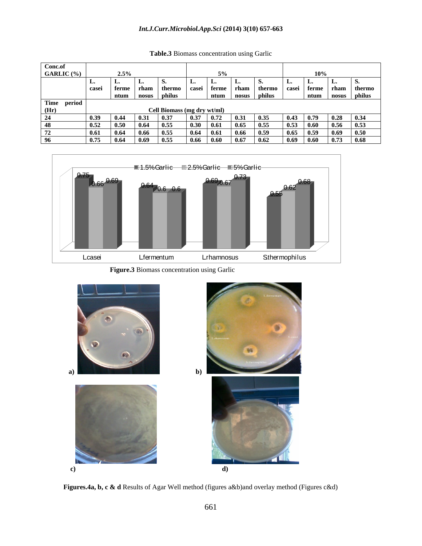### *Int.J.Curr.Microbiol.App.Sci* **(2014) 3(10) 657-663**

| Conc.of           |              |               |                  |                             |                     |                       |        |                      |                   |
|-------------------|--------------|---------------|------------------|-----------------------------|---------------------|-----------------------|--------|----------------------|-------------------|
| <b>GARLIC</b> (%) |              | $\mathcal{L}$ |                  |                             |                     |                       |        | 10%                  |                   |
|                   |              |               |                  |                             |                     |                       |        |                      |                   |
|                   |              |               |                  |                             |                     |                       |        |                      | tham I thermo     |
|                   |              | ntum nosus    |                  | philus                      |                     | ntum   nosus   philus |        |                      | ntum nosus philus |
| Time period       |              |               |                  |                             |                     |                       |        |                      |                   |
|                   |              |               |                  | Cell Biomass (mg dry wt/ml) |                     |                       |        |                      |                   |
|                   | 1039 104     |               |                  |                             |                     | 10.31                 | . U.S. | 0.43                 | $10.79$ 0.28      |
|                   |              | .             | <b>1055</b>      |                             | <b>1061</b>         | - 1065                | I 0.55 | 1053 1060            | l 0.56 l          |
|                   |              |               |                  |                             | l 061<br>III 64     | - 10.66               |        | 0.65                 | <b>1 0 69</b>     |
|                   | $\mathbf{u}$ | 1.0.64        | 0.55<br>l 0.69 - |                             | - 1 0.66 - 1 0.60 - | - 1 0.67              | 10.62  | $0.69$ $0.60$ $0.73$ | 0.68              |

**Table.3** Biomass concentration using Garlic



 **Figure.3** Biomass concentration using Garlic



 **Figures.4a, b, c & d** Results of Agar Well method (figures a&b)and overlay method (Figures c&d)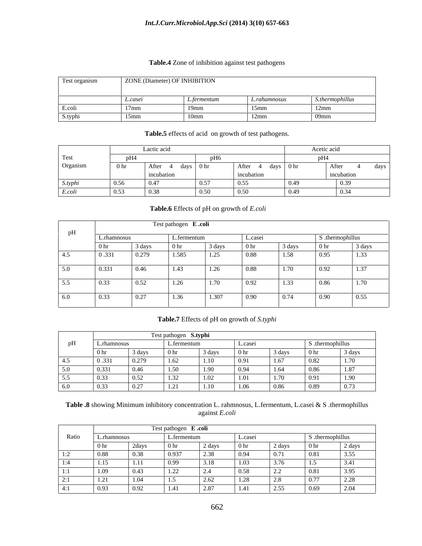### *Int.J.Curr.Microbiol.App.Sci* **(2014) 3(10) 657-663**

#### **Table.4** Zone of inhibition against test pathogens

|              | $70N$ E | (Diameter) OF INHIBITION |          |
|--------------|---------|--------------------------|----------|
|              | .casei  |                          | $\cdots$ |
| <b>J.COL</b> |         |                          |          |
| S.typ.       |         |                          |          |

### **Table.5** effects of acid on growth of test pathogens.

|          |                 | Lactic acid |                   |            |                   | Acetic acid |      |
|----------|-----------------|-------------|-------------------|------------|-------------------|-------------|------|
| Test     |                 |             |                   |            |                   |             |      |
| Organism | 0 <sub>hr</sub> | After       | days $\vert$ 0 hr | After      | days $\vert$ 0 hr | After       | days |
|          |                 | incubation  |                   | incubation |                   | incubation  |      |
| S.typhi  | 0.56            | 0.47        | 0.57              | 0.55       |                   | 0.39        |      |
| E.coli   | $\pm 0.53$      |             | 0.50              | 0.50       |                   |             |      |

### **Table.6** Effects of pH on growth of *E.coli*

|     |                 | Test pathogen E.coli |                 |        |                 |        |                  |        |  |  |  |  |  |  |
|-----|-----------------|----------------------|-----------------|--------|-----------------|--------|------------------|--------|--|--|--|--|--|--|
| UI. | L.rhamnosus     |                      | L.fermentum     |        | L.casei         |        | S .thermophillus |        |  |  |  |  |  |  |
|     | 0 <sub>hr</sub> | 3 days               | 0 <sub>hr</sub> | 3 days | 0 <sub>hr</sub> | 3 days | 0 <sub>hr</sub>  | 3 days |  |  |  |  |  |  |
| 4.5 | 0.331           | 0.279                | 1.585           | 1.25   | 0.88            | 1.58   | 0.95             | 1.33   |  |  |  |  |  |  |
| 5.0 | 0.331           | 0.46                 | 1.43            | 1.26   | 0.88            | 1.70   | 0.92             | 1.37   |  |  |  |  |  |  |
| 5.5 | 0.33            | 0.52                 | 1.26            | 1.70   | 0.92            | 1.33   | 0.86             | 1.70   |  |  |  |  |  |  |
| 6.0 | 0.33            | 0.27                 | 1.36            | 1.307  | 0.90            | 0.74   | 0.90             | 0.55   |  |  |  |  |  |  |

### **Table.7** Effects of pH on growth of *S.typhi*

|     |                          |                                | Test pathogen <b>S.typhi</b> |        |        |              |                      |                               |
|-----|--------------------------|--------------------------------|------------------------------|--------|--------|--------------|----------------------|-------------------------------|
|     | L.rhamnos                |                                | . еннешш                     |        | L.case |              | S .thermophillu      |                               |
|     | $\mathbf{v}$ in          | $\overline{d}$ ovzo<br>, yay s |                              | 3 davs | () hr  | 3 days       | $\vee$ III           | 3 days                        |
| +.ບ | .<br>$^{\circ}$<br>0.001 | 0.270                          |                              | I.IO   |        | 1.67         | 0.82                 | $\mathbf{1} \cdot \mathbf{1}$ |
| 5.0 | 0.331                    |                                | 1.50                         | 1.90   |        | 1.64         | 0.86                 | 1.87                          |
| 5.5 | 0.33                     | - 0.52<br>, <i>, , ,</i>       | $-$                          |        |        | 1.70<br>1.70 | $\ddot{\phantom{0}}$ | 1.90                          |
| 6.0 | 0.33                     | 0.27                           | $\sqrt{1}$<br>1.21           | 1.10   | 1.06   | 0.86         | 0.89                 | 0.73                          |

**Table .8** showing Minimum inhibitory concentration L. rahmnosus, L.fermentum, L.casei & S .thermophillus against *E.coli*

|           |              |                    | Test pathogen E.coli   |            |         |               |                 |                         |  |  |  |  |  |  |
|-----------|--------------|--------------------|------------------------|------------|---------|---------------|-----------------|-------------------------|--|--|--|--|--|--|
| Ratio     | L.rhamnosu   |                    | L.termentum            |            | L.casei |               | S .thermophillu |                         |  |  |  |  |  |  |
|           | $\vert$ 0 hr | 2days              | 0 <sub>hr</sub>        | 2 days     | 0 hr    | 2 days        | 0 <sub>hr</sub> | $\sqrt{2} \text{ days}$ |  |  |  |  |  |  |
| 1:2       | 0.88         | $\vert 0.38 \vert$ | 0.937                  | 2.38       |         | 0.71          |                 | 3.55                    |  |  |  |  |  |  |
| 1:4       | $\vert$ 1.15 | - 1.11             | 0.99                   | 3.18       | 1.03    | - 774<br>ب. ر | 1.5             | 3.41                    |  |  |  |  |  |  |
| $\cdot$ . | 1.09         | $ 0.43\rangle$     | $\overline{1}$<br>1.44 | <b>2.4</b> | 0.58    | 12.2          | $\cdots$        | 3.95                    |  |  |  |  |  |  |
| .         | 1.21         | 1.04               |                        | 2.62       | 1.28    | -2.8          | 0.77            | 2.28                    |  |  |  |  |  |  |
|           | 0.93         | L O 92             | 1.41                   | 2.87       | 1.4     | 2.55          | 0.69            | 2.04                    |  |  |  |  |  |  |